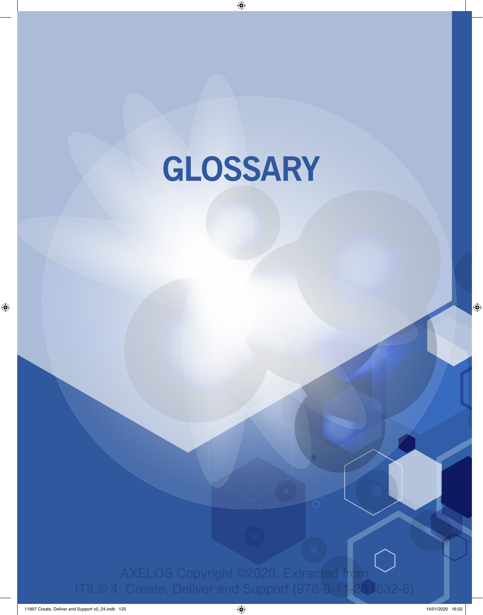# **GLOSSARY**

Glossary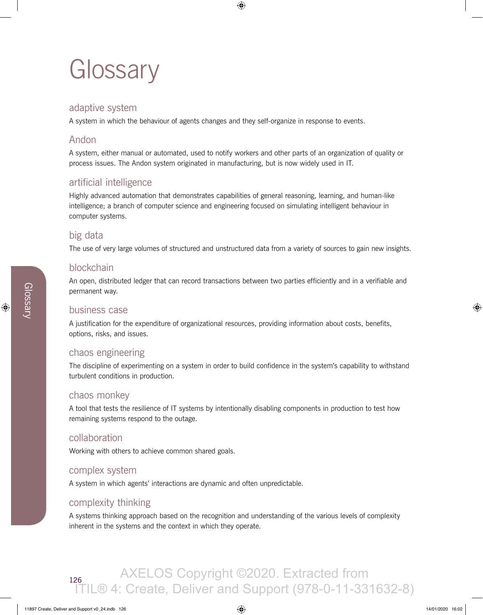## **Glossary**

## adaptive system

A system in which the behaviour of agents changes and they self-organize in response to events.

## Andon

A system, either manual or automated, used to notify workers and other parts of an organization of quality or process issues. The Andon system originated in manufacturing, but is now widely used in IT.

## artificial intelligence

Highly advanced automation that demonstrates capabilities of general reasoning, learning, and human-like intelligence; a branch of computer science and engineering focused on simulating intelligent behaviour in computer systems.

## big data

The use of very large volumes of structured and unstructured data from a variety of sources to gain new insights.

## blockchain

An open, distributed ledger that can record transactions between two parties efficiently and in a verifiable and permanent way.

#### business case

A justification for the expenditure of organizational resources, providing information about costs, benefits, options, risks, and issues.

## chaos engineering

The discipline of experimenting on a system in order to build confidence in the system's capability to withstand turbulent conditions in production.

## chaos monkey

A tool that tests the resilience of IT systems by intentionally disabling components in production to test how remaining systems respond to the outage.

#### collaboration

Working with others to achieve common shared goals.

#### complex system

A system in which agents' interactions are dynamic and often unpredictable.

## complexity thinking

A systems thinking approach based on the recognition and understanding of the various levels of complexity inherent in the systems and the context in which they operate.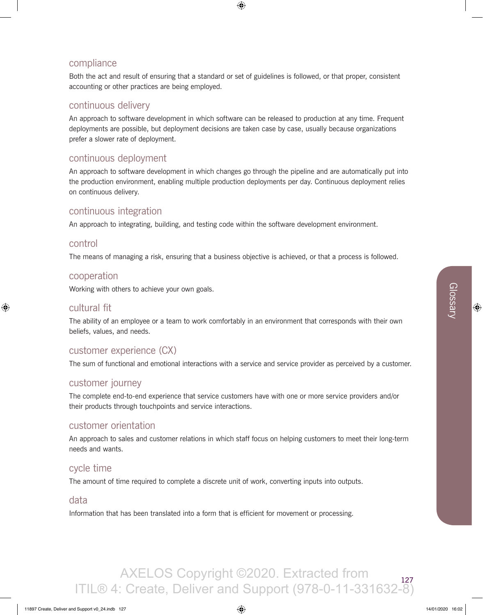## compliance

Both the act and result of ensuring that a standard or set of guidelines is followed, or that proper, consistent accounting or other practices are being employed.

## continuous delivery

An approach to software development in which software can be released to production at any time. Frequent deployments are possible, but deployment decisions are taken case by case, usually because organizations prefer a slower rate of deployment.

## continuous deployment

An approach to software development in which changes go through the pipeline and are automatically put into the production environment, enabling multiple production deployments per day. Continuous deployment relies on continuous delivery.

## continuous integration

An approach to integrating, building, and testing code within the software development environment.

#### control

The means of managing a risk, ensuring that a business objective is achieved, or that a process is followed.

#### cooperation

Working with others to achieve your own goals.

## cultural fit

The ability of an employee or a team to work comfortably in an environment that corresponds with their own beliefs, values, and needs.

## customer experience (CX)

The sum of functional and emotional interactions with a service and service provider as perceived by a customer.

## customer journey

The complete end-to-end experience that service customers have with one or more service providers and/or their products through touchpoints and service interactions.

## customer orientation

An approach to sales and customer relations in which staff focus on helping customers to meet their long-term needs and wants.

## cycle time

The amount of time required to complete a discrete unit of work, converting inputs into outputs.

## data

Information that has been translated into a form that is efficient for movement or processing.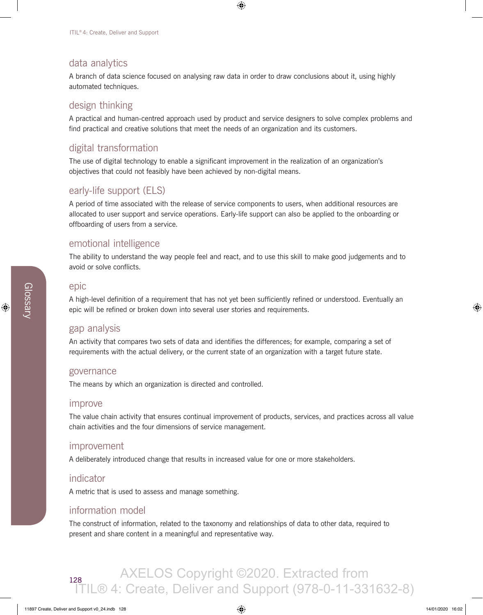## data analytics

A branch of data science focused on analysing raw data in order to draw conclusions about it, using highly automated techniques.

## design thinking

A practical and human-centred approach used by product and service designers to solve complex problems and find practical and creative solutions that meet the needs of an organization and its customers.

## digital transformation

The use of digital technology to enable a significant improvement in the realization of an organization's objectives that could not feasibly have been achieved by non-digital means.

## early-life support (ELS)

A period of time associated with the release of service components to users, when additional resources are allocated to user support and service operations. Early-life support can also be applied to the onboarding or offboarding of users from a service.

## emotional intelligence

The ability to understand the way people feel and react, and to use this skill to make good judgements and to avoid or solve conflicts.

#### epic

A high-level definition of a requirement that has not yet been sufficiently refined or understood. Eventually an epic will be refined or broken down into several user stories and requirements.

## gap analysis

An activity that compares two sets of data and identifies the differences; for example, comparing a set of requirements with the actual delivery, or the current state of an organization with a target future state.

#### governance

The means by which an organization is directed and controlled.

#### improve

The value chain activity that ensures continual improvement of products, services, and practices across all value chain activities and the four dimensions of service management.

#### improvement

A deliberately introduced change that results in increased value for one or more stakeholders.

#### indicator

A metric that is used to assess and manage something.

## information model

The construct of information, related to the taxonomy and relationships of data to other data, required to present and share content in a meaningful and representative way.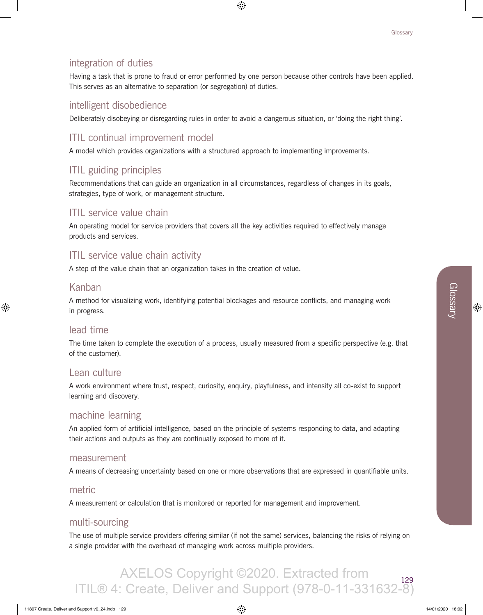## integration of duties

Having a task that is prone to fraud or error performed by one person because other controls have been applied. This serves as an alternative to separation (or segregation) of duties.

## intelligent disobedience

Deliberately disobeying or disregarding rules in order to avoid a dangerous situation, or 'doing the right thing'.

## ITIL continual improvement model

A model which provides organizations with a structured approach to implementing improvements.

## ITIL guiding principles

Recommendations that can guide an organization in all circumstances, regardless of changes in its goals, strategies, type of work, or management structure.

## ITIL service value chain

An operating model for service providers that covers all the key activities required to effectively manage products and services.

## ITIL service value chain activity

A step of the value chain that an organization takes in the creation of value.

## Kanban

A method for visualizing work, identifying potential blockages and resource conflicts, and managing work in progress.

## lead time

The time taken to complete the execution of a process, usually measured from a specific perspective (e.g. that of the customer).

#### Lean culture

A work environment where trust, respect, curiosity, enquiry, playfulness, and intensity all co-exist to support learning and discovery.

## machine learning

An applied form of artificial intelligence, based on the principle of systems responding to data, and adapting their actions and outputs as they are continually exposed to more of it.

#### measurement

A means of decreasing uncertainty based on one or more observations that are expressed in quantifiable units.

#### metric

A measurement or calculation that is monitored or reported for management and improvement.

#### multi-sourcing

The use of multiple service providers offering similar (if not the same) services, balancing the risks of relying on a single provider with the overhead of managing work across multiple providers.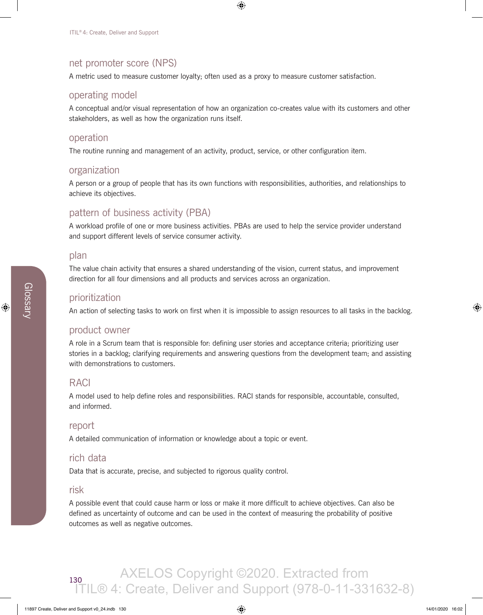## net promoter score (NPS)

A metric used to measure customer loyalty; often used as a proxy to measure customer satisfaction.

#### operating model

A conceptual and/or visual representation of how an organization co-creates value with its customers and other stakeholders, as well as how the organization runs itself.

#### operation

The routine running and management of an activity, product, service, or other configuration item.

#### organization

A person or a group of people that has its own functions with responsibilities, authorities, and relationships to achieve its objectives.

## pattern of business activity (PBA)

A workload profile of one or more business activities. PBAs are used to help the service provider understand and support different levels of service consumer activity.

#### plan

The value chain activity that ensures a shared understanding of the vision, current status, and improvement direction for all four dimensions and all products and services across an organization.

#### prioritization

An action of selecting tasks to work on first when it is impossible to assign resources to all tasks in the backlog.

#### product owner

A role in a Scrum team that is responsible for: defining user stories and acceptance criteria; prioritizing user stories in a backlog; clarifying requirements and answering questions from the development team; and assisting with demonstrations to customers.

#### RACI

A model used to help define roles and responsibilities. RACI stands for responsible, accountable, consulted, and informed.

#### report

A detailed communication of information or knowledge about a topic or event.

## rich data

Data that is accurate, precise, and subjected to rigorous quality control.

#### risk

A possible event that could cause harm or loss or make it more difficult to achieve objectives. Can also be defined as uncertainty of outcome and can be used in the context of measuring the probability of positive outcomes as well as negative outcomes.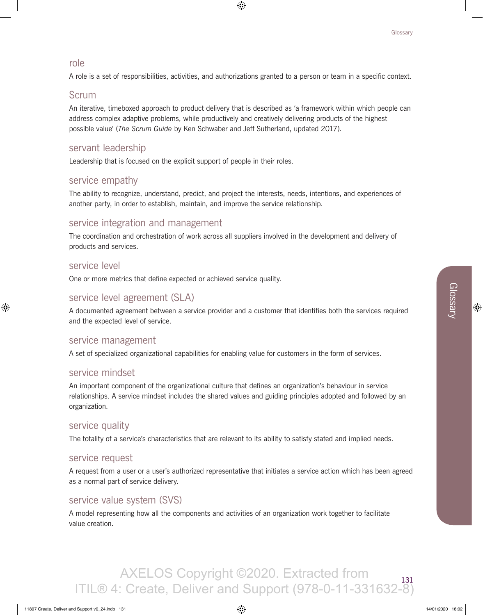#### role

A role is a set of responsibilities, activities, and authorizations granted to a person or team in a specific context.

## Scrum

An iterative, timeboxed approach to product delivery that is described as 'a framework within which people can address complex adaptive problems, while productively and creatively delivering products of the highest possible value' (*The Scrum Guide* by Ken Schwaber and Jeff Sutherland, updated 2017).

## servant leadership

Leadership that is focused on the explicit support of people in their roles.

#### service empathy

The ability to recognize, understand, predict, and project the interests, needs, intentions, and experiences of another party, in order to establish, maintain, and improve the service relationship.

## service integration and management

The coordination and orchestration of work across all suppliers involved in the development and delivery of products and services.

#### service level

One or more metrics that define expected or achieved service quality.

## service level agreement (SLA)

A documented agreement between a service provider and a customer that identifies both the services required and the expected level of service.

#### service management

A set of specialized organizational capabilities for enabling value for customers in the form of services.

#### service mindset

An important component of the organizational culture that defines an organization's behaviour in service relationships. A service mindset includes the shared values and guiding principles adopted and followed by an organization.

#### service quality

The totality of a service's characteristics that are relevant to its ability to satisfy stated and implied needs.

#### service request

A request from a user or a user's authorized representative that initiates a service action which has been agreed as a normal part of service delivery.

## service value system (SVS)

A model representing how all the components and activities of an organization work together to facilitate value creation.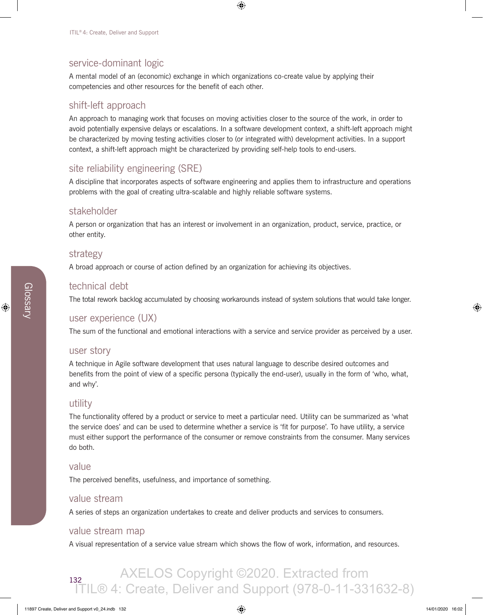## service-dominant logic

A mental model of an (economic) exchange in which organizations co-create value by applying their competencies and other resources for the benefit of each other.

## shift-left approach

An approach to managing work that focuses on moving activities closer to the source of the work, in order to avoid potentially expensive delays or escalations. In a software development context, a shift-left approach might be characterized by moving testing activities closer to (or integrated with) development activities. In a support context, a shift-left approach might be characterized by providing self-help tools to end-users.

## site reliability engineering (SRE)

A discipline that incorporates aspects of software engineering and applies them to infrastructure and operations problems with the goal of creating ultra-scalable and highly reliable software systems.

#### stakeholder

A person or organization that has an interest or involvement in an organization, product, service, practice, or other entity.

#### strategy

A broad approach or course of action defined by an organization for achieving its objectives.

#### technical debt

The total rework backlog accumulated by choosing workarounds instead of system solutions that would take longer.

## user experience (UX)

The sum of the functional and emotional interactions with a service and service provider as perceived by a user.

#### user story

A technique in Agile software development that uses natural language to describe desired outcomes and benefits from the point of view of a specific persona (typically the end-user), usually in the form of 'who, what, and why'.

#### utility

The functionality offered by a product or service to meet a particular need. Utility can be summarized as 'what the service does' and can be used to determine whether a service is 'fit for purpose'. To have utility, a service must either support the performance of the consumer or remove constraints from the consumer. Many services do both.

#### value

The perceived benefits, usefulness, and importance of something.

#### value stream

A series of steps an organization undertakes to create and deliver products and services to consumers.

#### value stream map

A visual representation of a service value stream which shows the flow of work, information, and resources.